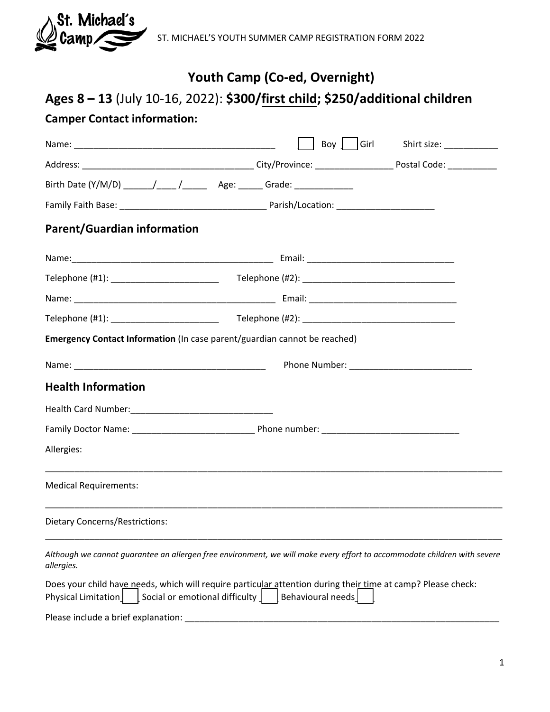

ST. MICHAEL'S YOUTH SUMMER CAMP REGISTRATION FORM 2022

## **Youth Camp (Co-ed, Overnight)**

# **Ages 8 – 13** (July 10-16, 2022): **\$300/first child; \$250/additional children**

## **Camper Contact information:**

|                                                                                                                                                                         |                   | Boy     Girl Shirt size: ___________ |  |  |  |  |
|-------------------------------------------------------------------------------------------------------------------------------------------------------------------------|-------------------|--------------------------------------|--|--|--|--|
|                                                                                                                                                                         |                   |                                      |  |  |  |  |
|                                                                                                                                                                         |                   |                                      |  |  |  |  |
|                                                                                                                                                                         |                   |                                      |  |  |  |  |
| <b>Parent/Guardian information</b>                                                                                                                                      |                   |                                      |  |  |  |  |
|                                                                                                                                                                         |                   |                                      |  |  |  |  |
|                                                                                                                                                                         |                   |                                      |  |  |  |  |
|                                                                                                                                                                         |                   |                                      |  |  |  |  |
|                                                                                                                                                                         |                   |                                      |  |  |  |  |
| Emergency Contact Information (In case parent/guardian cannot be reached)                                                                                               |                   |                                      |  |  |  |  |
|                                                                                                                                                                         |                   |                                      |  |  |  |  |
| <b>Health Information</b>                                                                                                                                               |                   |                                      |  |  |  |  |
|                                                                                                                                                                         |                   |                                      |  |  |  |  |
|                                                                                                                                                                         |                   |                                      |  |  |  |  |
| Allergies:                                                                                                                                                              |                   |                                      |  |  |  |  |
| <b>Medical Requirements:</b>                                                                                                                                            |                   |                                      |  |  |  |  |
| <b>Dietary Concerns/Restrictions:</b>                                                                                                                                   |                   |                                      |  |  |  |  |
| Although we cannot guarantee an allergen free environment, we will make every effort to accommodate children with severe<br>allergies.                                  |                   |                                      |  |  |  |  |
| Does your child have needs, which will require particular attention during their time at camp? Please check:<br>Social or emotional difficulty  <br>Physical Limitation | Behavioural needs |                                      |  |  |  |  |
| Please include a brief explanation:                                                                                                                                     |                   |                                      |  |  |  |  |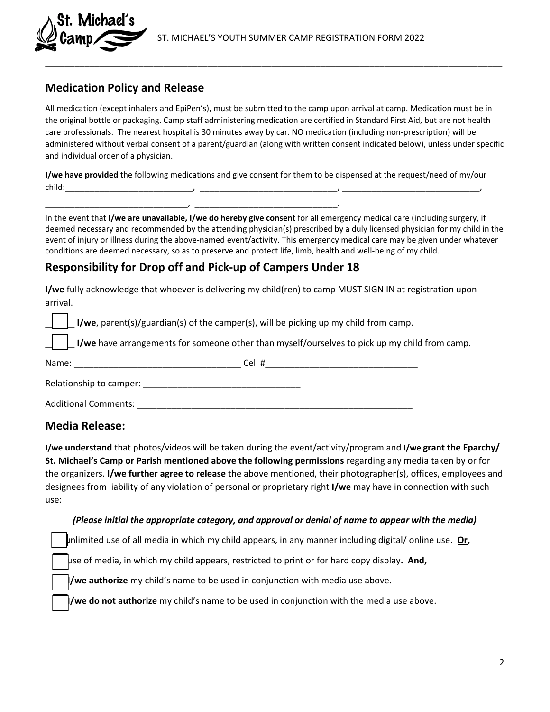#### **Medication Policy and Release**

Michael's

All medication (except inhalers and EpiPen's), must be submitted to the camp upon arrival at camp. Medication must be in the original bottle or packaging. Camp staff administering medication are certified in Standard First Aid, but are not health care professionals. The nearest hospital is 30 minutes away by car. NO medication (including non-prescription) will be administered without verbal consent of a parent/guardian (along with written consent indicated below), unless under specific and individual order of a physician.

\_\_\_\_\_\_\_\_\_\_\_\_\_\_\_\_\_\_\_\_\_\_\_\_\_\_\_\_\_\_\_\_\_\_\_\_\_\_\_\_\_\_\_\_\_\_\_\_\_\_\_\_\_\_\_\_\_\_\_\_\_\_\_\_\_\_\_\_\_\_\_\_\_\_\_\_\_\_\_\_\_\_\_\_\_\_\_\_\_\_\_\_\_

**I/we have provided** the following medications and give consent for them to be dispensed at the request/need of my/our child:\_\_\_\_\_\_\_\_\_\_\_\_\_\_\_\_\_\_\_\_\_\_\_\_\_\_, \_\_\_\_\_\_\_\_\_\_\_\_\_\_\_\_\_\_\_\_\_\_\_\_\_\_\_\_, \_\_\_\_\_\_\_\_\_\_\_\_\_\_\_\_\_\_\_\_\_\_\_\_\_\_\_\_,

In the event that **I/we are unavailable, I/we do hereby give consent** for all emergency medical care (including surgery, if deemed necessary and recommended by the attending physician(s) prescribed by a duly licensed physician for my child in the event of injury or illness during the above-named event/activity. This emergency medical care may be given under whatever conditions are deemed necessary, so as to preserve and protect life, limb, health and well-being of my child.

#### **Responsibility for Drop off and Pick-up of Campers Under 18**

\_\_\_\_\_\_\_\_\_\_\_\_\_\_\_\_\_\_\_\_\_\_\_\_\_\_\_\_\_, \_\_\_\_\_\_\_\_\_\_\_\_\_\_\_\_\_\_\_\_\_\_\_\_\_\_\_\_\_.

**I/we** fully acknowledge that whoever is delivering my child(ren) to camp MUST SIGN IN at registration upon arrival.

\_\_\_\_\_\_ **I/we**, parent(s)/guardian(s) of the camper(s), will be picking up my child from camp.

**I/we** have arrangements for someone other than myself/ourselves to pick up my child from camp.

| Name:                       | Cell# |
|-----------------------------|-------|
| Relationship to camper:     |       |
| <b>Additional Comments:</b> |       |

#### **Media Release:**

**I/we understand** that photos/videos will be taken during the event/activity/program and **I/we grant the Eparchy/ St. Michael's Camp or Parish mentioned above the following permissions** regarding any media taken by or for the organizers. **I/we further agree to release** the above mentioned, their photographer(s), offices, employees and designees from liability of any violation of personal or proprietary right **I/we** may have in connection with such use:

#### *(Please initial the appropriate category, and approval or denial of name to appear with the media)*

unlimited use of all media in which my child appears, in any manner including digital/ online use. **Or,**

use of media, in which my child appears, restricted to print or for hard copy display**. And,**

**I/we authorize** my child's name to be used in conjunction with media use above.

**I/we do not authorize** my child's name to be used in conjunction with the media use above.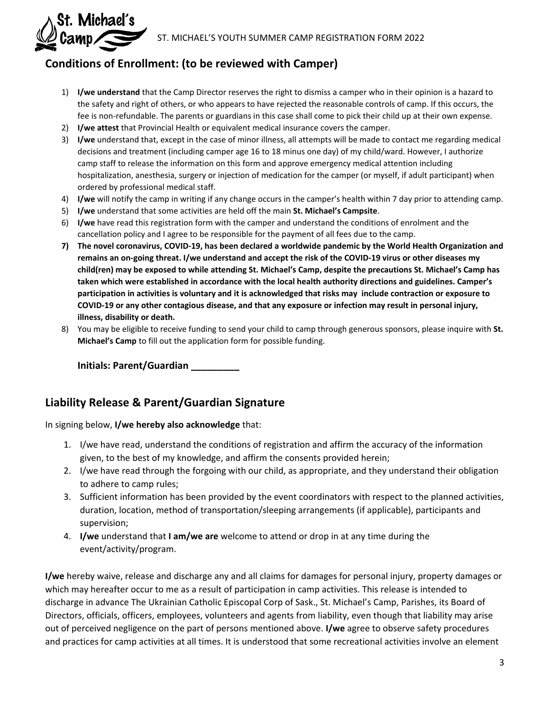

## **Conditions of Enrollment: (to be reviewed with Camper)**

- 1) **I/we understand** that the Camp Director reserves the right to dismiss a camper who in their opinion is a hazard to the safety and right of others, or who appears to have rejected the reasonable controls of camp. If this occurs, the fee is non-refundable. The parents or guardians in this case shall come to pick their child up at their own expense.
- 2) **I/we attest** that Provincial Health or equivalent medical insurance covers the camper.
- 3) **I/we** understand that, except in the case of minor illness, all attempts will be made to contact me regarding medical decisions and treatment (including camper age 16 to 18 minus one day) of my child/ward. However, I authorize camp staff to release the information on this form and approve emergency medical attention including hospitalization, anesthesia, surgery or injection of medication for the camper (or myself, if adult participant) when ordered by professional medical staff.
- 4) **I/we** will notify the camp in writing if any change occurs in the camper's health within 7 day prior to attending camp.
- 5) **I/we** understand that some activities are held off the main **St. Michael's Campsite**.
- 6) **I/we** have read this registration form with the camper and understand the conditions of enrolment and the cancellation policy and I agree to be responsible for the payment of all fees due to the camp.
- **7) The novel coronavirus, COVID-19, has been declared a worldwide pandemic by the World Health Organization and remains an on-going threat. I/we understand and accept the risk of the COVID-19 virus or other diseases my child(ren) may be exposed to while attending St. Michael's Camp, despite the precautions St. Michael's Camp has taken which were established in accordance with the local health authority directions and guidelines. Camper's participation in activities is voluntary and it is acknowledged that risks may include contraction or exposure to COVID-19 or any other contagious disease, and that any exposure or infection may result in personal injury, illness, disability or death.**
- 8) You may be eligible to receive funding to send your child to camp through generous sponsors, please inquire with **St. Michael's Camp** to fill out the application form for possible funding.

**Initials: Parent/Guardian \_\_\_\_\_\_\_\_\_** 

### **Liability Release & Parent/Guardian Signature**

In signing below, **I/we hereby also acknowledge** that:

- 1. I/we have read, understand the conditions of registration and affirm the accuracy of the information given, to the best of my knowledge, and affirm the consents provided herein;
- 2. I/we have read through the forgoing with our child, as appropriate, and they understand their obligation to adhere to camp rules;
- 3. Sufficient information has been provided by the event coordinators with respect to the planned activities, duration, location, method of transportation/sleeping arrangements (if applicable), participants and supervision;
- 4. **I/we** understand that **I am/we are** welcome to attend or drop in at any time during the event/activity/program.

**I/we** hereby waive, release and discharge any and all claims for damages for personal injury, property damages or which may hereafter occur to me as a result of participation in camp activities. This release is intended to discharge in advance The Ukrainian Catholic Episcopal Corp of Sask., St. Michael's Camp, Parishes, its Board of Directors, officials, officers, employees, volunteers and agents from liability, even though that liability may arise out of perceived negligence on the part of persons mentioned above. **I/we** agree to observe safety procedures and practices for camp activities at all times. It is understood that some recreational activities involve an element